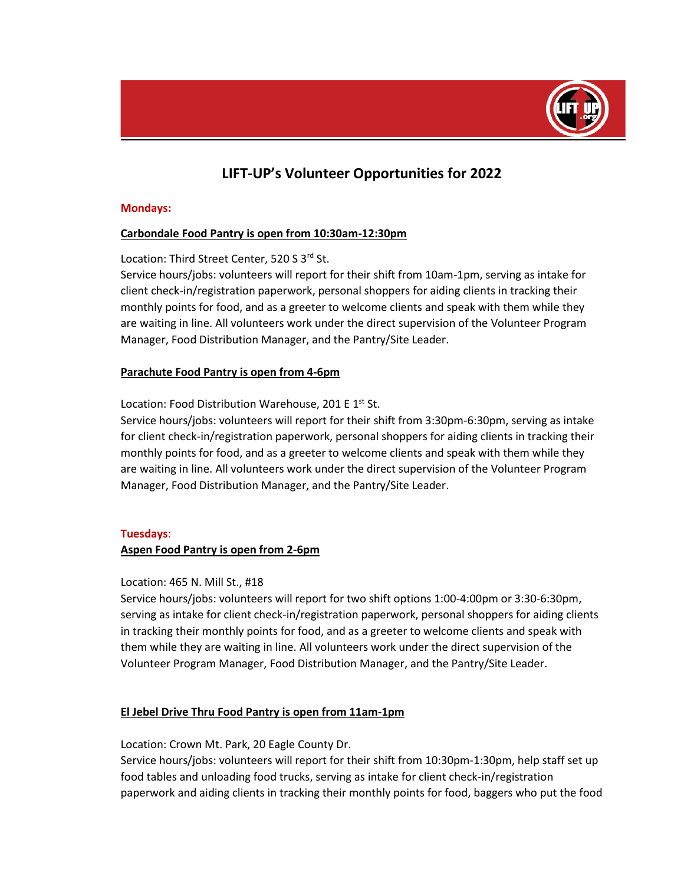

# **LIFT-UP's Volunteer Opportunities for 2022**

### **Mondays:**

# **Carbondale Food Pantry is open from 10:30am-12:30pm**

Location: Third Street Center, 520 S 3rd St.

Service hours/jobs: volunteers will report for their shift from 10am-1pm, serving as intake for client check-in/registration paperwork, personal shoppers for aiding clients in tracking their monthly points for food, and as a greeter to welcome clients and speak with them while they are waiting in line. All volunteers work under the direct supervision of the Volunteer Program Manager, Food Distribution Manager, and the Pantry/Site Leader.

### **Parachute Food Pantry is open from 4-6pm**

Location: Food Distribution Warehouse, 201 E 1st St.

Service hours/jobs: volunteers will report for their shift from 3:30pm-6:30pm, serving as intake for client check-in/registration paperwork, personal shoppers for aiding clients in tracking their monthly points for food, and as a greeter to welcome clients and speak with them while they are waiting in line. All volunteers work under the direct supervision of the Volunteer Program Manager, Food Distribution Manager, and the Pantry/Site Leader.

### **Tuesdays**:

### **Aspen Food Pantry is open from 2-6pm**

### Location: 465 N. Mill St., #18

Service hours/jobs: volunteers will report for two shift options 1:00-4:00pm or 3:30-6:30pm, serving as intake for client check-in/registration paperwork, personal shoppers for aiding clients in tracking their monthly points for food, and as a greeter to welcome clients and speak with them while they are waiting in line. All volunteers work under the direct supervision of the Volunteer Program Manager, Food Distribution Manager, and the Pantry/Site Leader.

### **El Jebel Drive Thru Food Pantry is open from 11am-1pm**

Location: Crown Mt. Park, 20 Eagle County Dr.

Service hours/jobs: volunteers will report for their shift from 10:30pm-1:30pm, help staff set up food tables and unloading food trucks, serving as intake for client check-in/registration paperwork and aiding clients in tracking their monthly points for food, baggers who put the food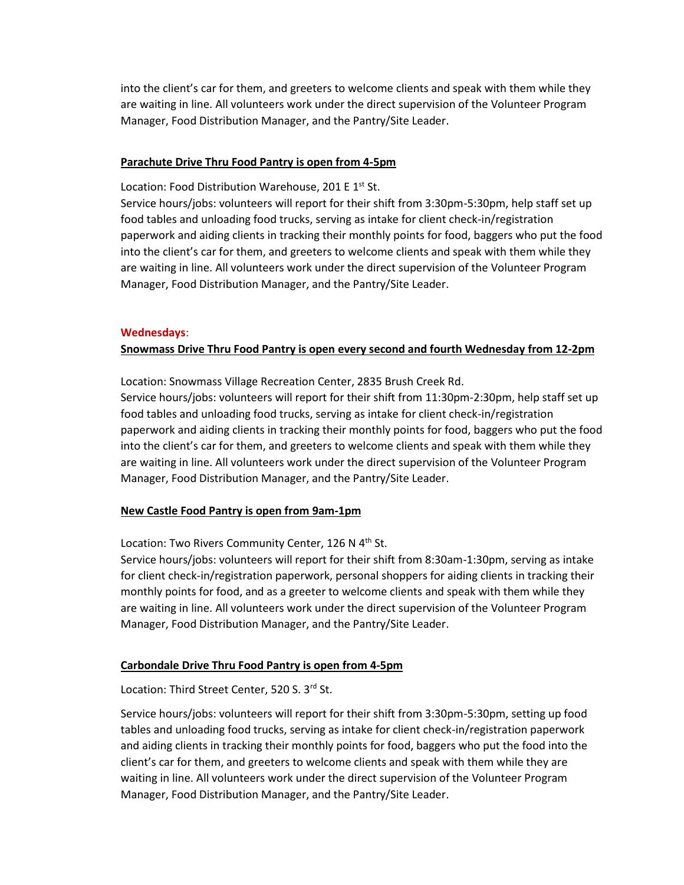into the client's car for them, and greeters to welcome clients and speak with them while they are waiting in line. All volunteers work under the direct supervision of the Volunteer Program Manager, Food Distribution Manager, and the Pantry/Site Leader.

### **Parachute Drive Thru Food Pantry is open from 4-5pm**

Location: Food Distribution Warehouse, 201 E 1<sup>st</sup> St.

Service hours/jobs: volunteers will report for their shift from 3:30pm-5:30pm, help staff set up food tables and unloading food trucks, serving as intake for client check-in/registration paperwork and aiding clients in tracking their monthly points for food, baggers who put the food into the client's car for them, and greeters to welcome clients and speak with them while they are waiting in line. All volunteers work under the direct supervision of the Volunteer Program Manager, Food Distribution Manager, and the Pantry/Site Leader.

### **Wednesdays**:

### **Snowmass Drive Thru Food Pantry is open every second and fourth Wednesday from 12-2pm**

Location: Snowmass Village Recreation Center, 2835 Brush Creek Rd. Service hours/jobs: volunteers will report for their shift from 11:30pm-2:30pm, help staff set up

food tables and unloading food trucks, serving as intake for client check-in/registration paperwork and aiding clients in tracking their monthly points for food, baggers who put the food into the client's car for them, and greeters to welcome clients and speak with them while they are waiting in line. All volunteers work under the direct supervision of the Volunteer Program Manager, Food Distribution Manager, and the Pantry/Site Leader.

### **New Castle Food Pantry is open from 9am-1pm**

Location: Two Rivers Community Center, 126 N 4<sup>th</sup> St.

Service hours/jobs: volunteers will report for their shift from 8:30am-1:30pm, serving as intake for client check-in/registration paperwork, personal shoppers for aiding clients in tracking their monthly points for food, and as a greeter to welcome clients and speak with them while they are waiting in line. All volunteers work under the direct supervision of the Volunteer Program Manager, Food Distribution Manager, and the Pantry/Site Leader.

### **Carbondale Drive Thru Food Pantry is open from 4-5pm**

Location: Third Street Center, 520 S. 3rd St.

Service hours/jobs: volunteers will report for their shift from 3:30pm-5:30pm, setting up food tables and unloading food trucks, serving as intake for client check-in/registration paperwork and aiding clients in tracking their monthly points for food, baggers who put the food into the client's car for them, and greeters to welcome clients and speak with them while they are waiting in line. All volunteers work under the direct supervision of the Volunteer Program Manager, Food Distribution Manager, and the Pantry/Site Leader.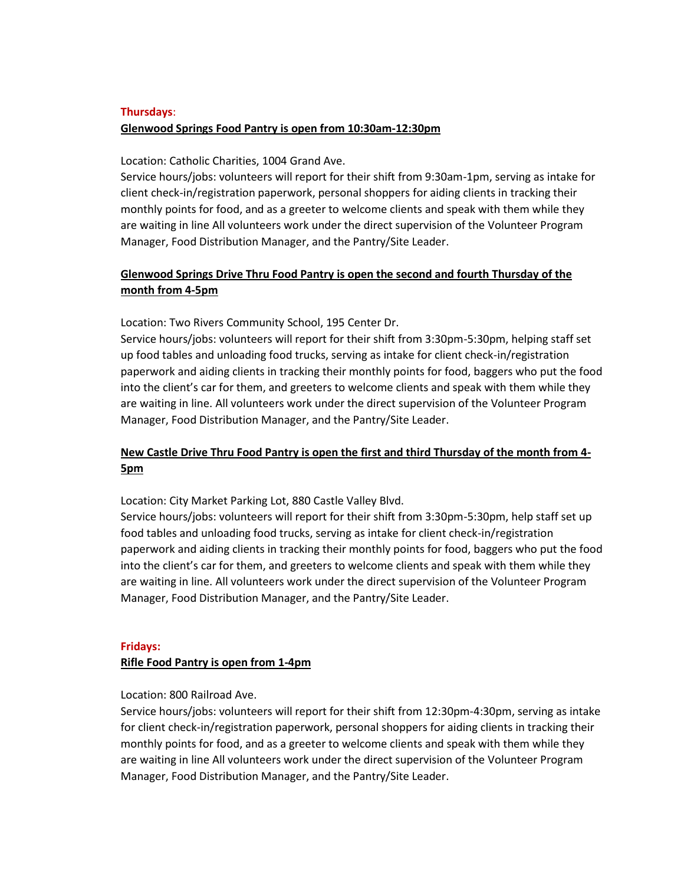# **Thursdays**: **Glenwood Springs Food Pantry is open from 10:30am-12:30pm**

Location: Catholic Charities, 1004 Grand Ave.

Service hours/jobs: volunteers will report for their shift from 9:30am-1pm, serving as intake for client check-in/registration paperwork, personal shoppers for aiding clients in tracking their monthly points for food, and as a greeter to welcome clients and speak with them while they are waiting in line All volunteers work under the direct supervision of the Volunteer Program Manager, Food Distribution Manager, and the Pantry/Site Leader.

# **Glenwood Springs Drive Thru Food Pantry is open the second and fourth Thursday of the month from 4-5pm**

Location: Two Rivers Community School, 195 Center Dr.

Service hours/jobs: volunteers will report for their shift from 3:30pm-5:30pm, helping staff set up food tables and unloading food trucks, serving as intake for client check-in/registration paperwork and aiding clients in tracking their monthly points for food, baggers who put the food into the client's car for them, and greeters to welcome clients and speak with them while they are waiting in line. All volunteers work under the direct supervision of the Volunteer Program Manager, Food Distribution Manager, and the Pantry/Site Leader.

# **New Castle Drive Thru Food Pantry is open the first and third Thursday of the month from 4- 5pm**

Location: City Market Parking Lot, 880 Castle Valley Blvd.

Service hours/jobs: volunteers will report for their shift from 3:30pm-5:30pm, help staff set up food tables and unloading food trucks, serving as intake for client check-in/registration paperwork and aiding clients in tracking their monthly points for food, baggers who put the food into the client's car for them, and greeters to welcome clients and speak with them while they are waiting in line. All volunteers work under the direct supervision of the Volunteer Program Manager, Food Distribution Manager, and the Pantry/Site Leader.

### **Fridays:**

### **Rifle Food Pantry is open from 1-4pm**

### Location: 800 Railroad Ave.

Service hours/jobs: volunteers will report for their shift from 12:30pm-4:30pm, serving as intake for client check-in/registration paperwork, personal shoppers for aiding clients in tracking their monthly points for food, and as a greeter to welcome clients and speak with them while they are waiting in line All volunteers work under the direct supervision of the Volunteer Program Manager, Food Distribution Manager, and the Pantry/Site Leader.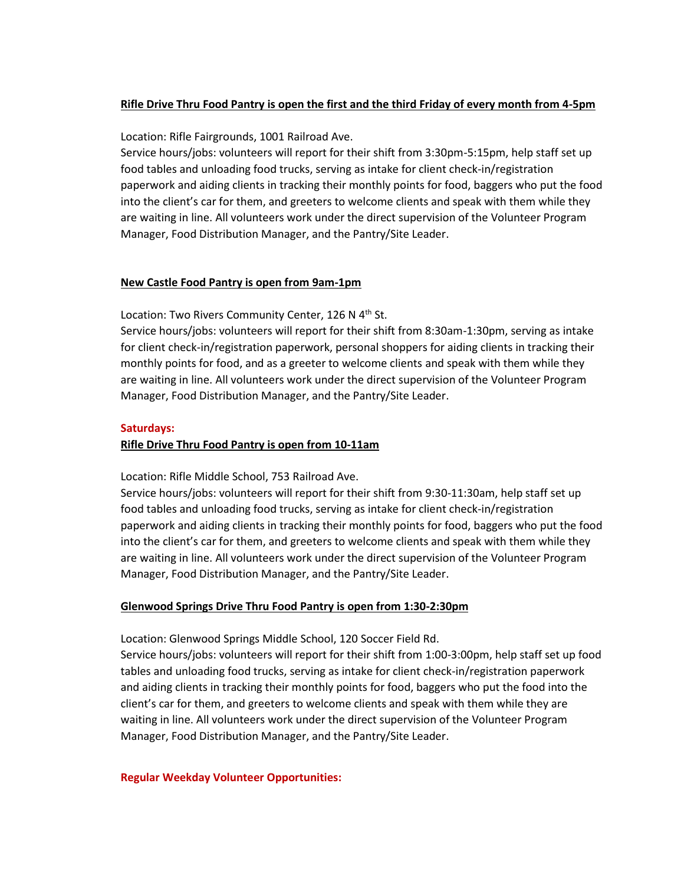# **Rifle Drive Thru Food Pantry is open the first and the third Friday of every month from 4-5pm**

Location: Rifle Fairgrounds, 1001 Railroad Ave.

Service hours/jobs: volunteers will report for their shift from 3:30pm-5:15pm, help staff set up food tables and unloading food trucks, serving as intake for client check-in/registration paperwork and aiding clients in tracking their monthly points for food, baggers who put the food into the client's car for them, and greeters to welcome clients and speak with them while they are waiting in line. All volunteers work under the direct supervision of the Volunteer Program Manager, Food Distribution Manager, and the Pantry/Site Leader.

### **New Castle Food Pantry is open from 9am-1pm**

Location: Two Rivers Community Center, 126 N 4<sup>th</sup> St.

Service hours/jobs: volunteers will report for their shift from 8:30am-1:30pm, serving as intake for client check-in/registration paperwork, personal shoppers for aiding clients in tracking their monthly points for food, and as a greeter to welcome clients and speak with them while they are waiting in line. All volunteers work under the direct supervision of the Volunteer Program Manager, Food Distribution Manager, and the Pantry/Site Leader.

### **Saturdays:**

### **Rifle Drive Thru Food Pantry is open from 10-11am**

Location: Rifle Middle School, 753 Railroad Ave.

Service hours/jobs: volunteers will report for their shift from 9:30-11:30am, help staff set up food tables and unloading food trucks, serving as intake for client check-in/registration paperwork and aiding clients in tracking their monthly points for food, baggers who put the food into the client's car for them, and greeters to welcome clients and speak with them while they are waiting in line. All volunteers work under the direct supervision of the Volunteer Program Manager, Food Distribution Manager, and the Pantry/Site Leader.

### **Glenwood Springs Drive Thru Food Pantry is open from 1:30-2:30pm**

Location: Glenwood Springs Middle School, 120 Soccer Field Rd.

Service hours/jobs: volunteers will report for their shift from 1:00-3:00pm, help staff set up food tables and unloading food trucks, serving as intake for client check-in/registration paperwork and aiding clients in tracking their monthly points for food, baggers who put the food into the client's car for them, and greeters to welcome clients and speak with them while they are waiting in line. All volunteers work under the direct supervision of the Volunteer Program Manager, Food Distribution Manager, and the Pantry/Site Leader.

### **Regular Weekday Volunteer Opportunities:**